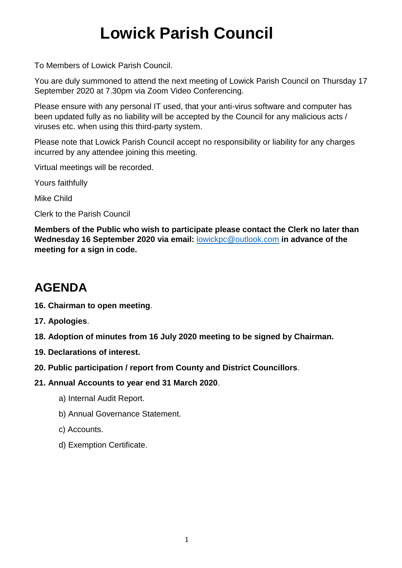### **Lowick Parish Council**

To Members of Lowick Parish Council.

You are duly summoned to attend the next meeting of Lowick Parish Council on Thursday 17 September 2020 at 7.30pm via Zoom Video Conferencing.

Please ensure with any personal IT used, that your anti-virus software and computer has been updated fully as no liability will be accepted by the Council for any malicious acts / viruses etc. when using this third-party system.

Please note that Lowick Parish Council accept no responsibility or liability for any charges incurred by any attendee joining this meeting.

Virtual meetings will be recorded.

Yours faithfully

Mike Child

Clerk to the Parish Council

**Members of the Public who wish to participate please contact the Clerk no later than Wednesday 16 September 2020 via email:** [lowickpc@outlook.com](mailto:lowickpc@outlook.com) **in advance of the meeting for a sign in code.**

### **AGENDA**

- **16. Chairman to open meeting**.
- **17. Apologies**.
- **18. Adoption of minutes from 16 July 2020 meeting to be signed by Chairman.**
- **19. Declarations of interest.**
- **20. Public participation / report from County and District Councillors**.
- **21. Annual Accounts to year end 31 March 2020**.
	- a) Internal Audit Report.
	- b) Annual Governance Statement.
	- c) Accounts.
	- d) Exemption Certificate.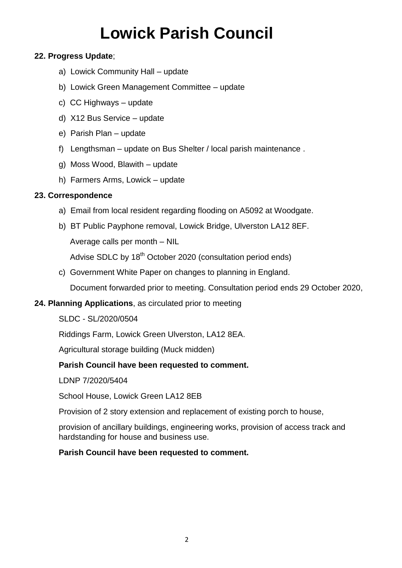# **Lowick Parish Council**

#### **22. Progress Update**;

- a) Lowick Community Hall update
- b) Lowick Green Management Committee update
- c) CC Highways update
- d) X12 Bus Service update
- e) Parish Plan update
- f) Lengthsman update on Bus Shelter / local parish maintenance .
- g) Moss Wood, Blawith update
- h) Farmers Arms, Lowick update

#### **23. Correspondence**

- a) Email from local resident regarding flooding on A5092 at Woodgate.
- b) BT Public Payphone removal, Lowick Bridge, Ulverston LA12 8EF. Average calls per month – NIL Advise SDLC by 18<sup>th</sup> October 2020 (consultation period ends)
- c) Government White Paper on changes to planning in England.

Document forwarded prior to meeting. Consultation period ends 29 October 2020,

**24. Planning Applications**, as circulated prior to meeting

SLDC - SL/2020/0504

Riddings Farm, Lowick Green Ulverston, LA12 8EA.

Agricultural storage building (Muck midden)

#### **Parish Council have been requested to comment.**

LDNP 7/2020/5404

School House, Lowick Green LA12 8EB

Provision of 2 story extension and replacement of existing porch to house,

provision of ancillary buildings, engineering works, provision of access track and hardstanding for house and business use.

#### **Parish Council have been requested to comment.**